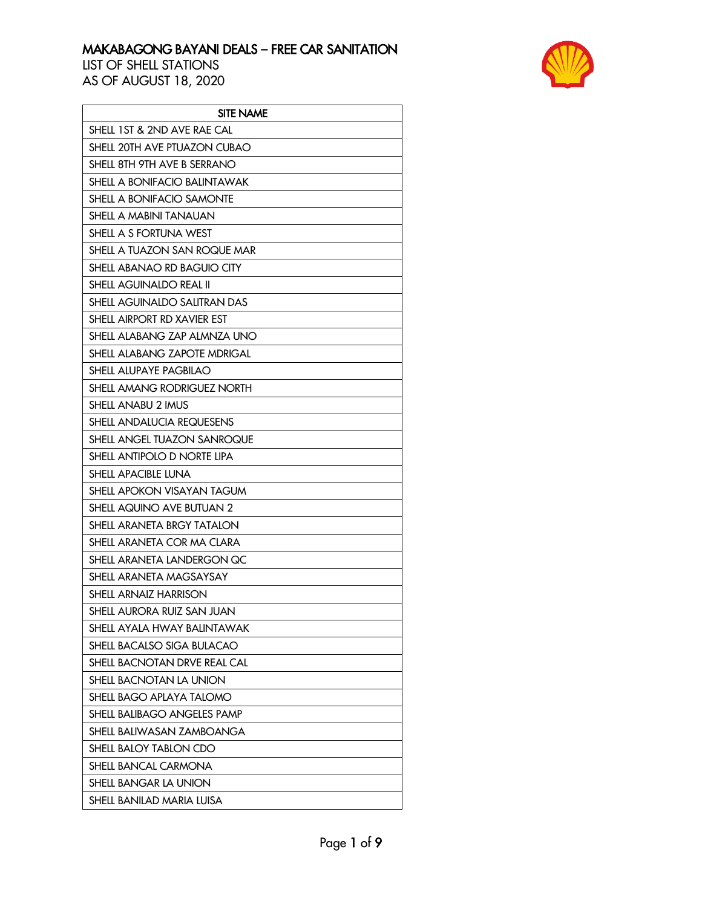

| <b>SITE NAME</b>             |
|------------------------------|
| SHELL 1ST & 2ND AVE RAE CAL  |
| SHELL 20TH AVE PTUAZON CUBAO |
| SHELL 8TH 9TH AVE B SERRANO  |
| SHELL A BONIFACIO BALINTAWAK |
| SHELL A BONIFACIO SAMONTE    |
| SHELL A MABINI TANAUAN       |
| SHELL A S FORTUNA WEST       |
| SHELL A TUAZON SAN ROQUE MAR |
| SHELL ABANAO RD BAGUIO CITY  |
| SHELL AGUINALDO REAL II      |
| SHELL AGUINALDO SALITRAN DAS |
| SHELL AIRPORT RD XAVIER EST  |
| SHELL ALABANG ZAP ALMNZA UNO |
| SHELL ALABANG ZAPOTE MDRIGAL |
| SHELL ALUPAYE PAGBILAO       |
| SHELL AMANG RODRIGUEZ NORTH  |
| SHELL ANABU 2 IMUS           |
| SHELL ANDALUCIA REQUESENS    |
| SHELL ANGEL TUAZON SANROQUE  |
| SHELL ANTIPOLO D NORTE LIPA  |
| SHELL APACIBLE LUNA          |
| SHELL APOKON VISAYAN TAGUM   |
| SHELL AQUINO AVE BUTUAN 2    |
| SHELL ARANETA BRGY TATALON   |
| SHELL ARANETA COR MA CLARA   |
| SHELL ARANETA LANDERGON QC   |
| SHELL ARANETA MAGSAYSAY      |
| SHELL ARNAIZ HARRISON        |
| SHELL AURORA RUIZ SAN JUAN   |
| SHELL AYALA HWAY BALINTAWAK  |
| SHELL BACALSO SIGA BULACAO   |
| SHELL BACNOTAN DRVE REAL CAL |
| SHELL BACNOTAN LA UNION      |
| SHELL BAGO APLAYA TALOMO     |
| SHELL BALIBAGO ANGELES PAMP  |
| SHELL BALIWASAN ZAMBOANGA    |
| SHELL BALOY TABLON CDO       |
| SHELL BANCAL CARMONA         |
| SHELL BANGAR LA UNION        |
| SHELL BANILAD MARIA LUISA    |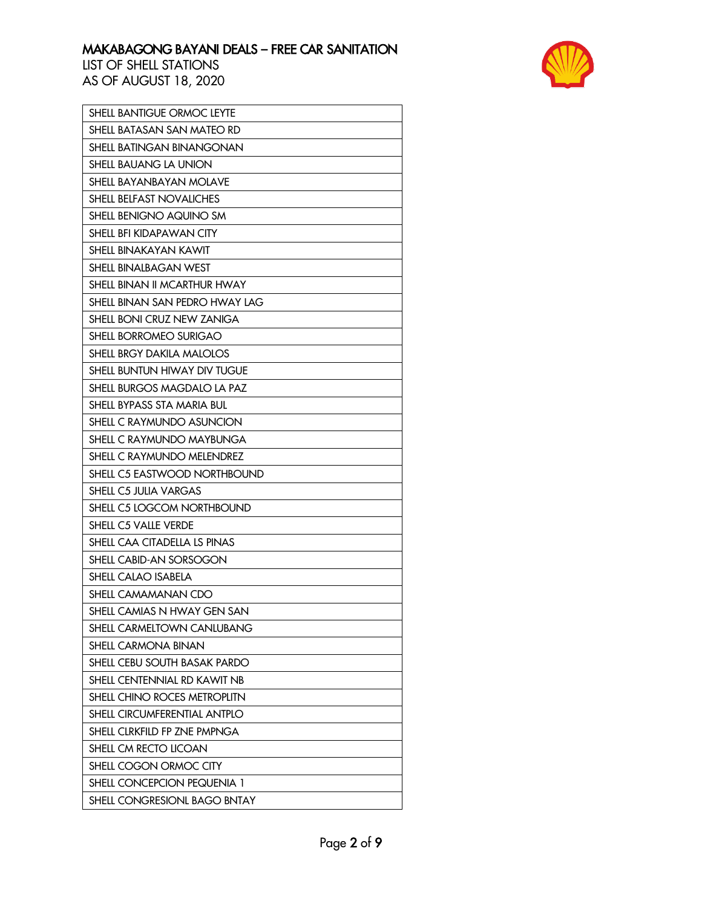

| <b>SHELL BANTIGUE ORMOC LEYTE</b> |
|-----------------------------------|
| SHELL BATASAN SAN MATEO RD        |
| <b>SHELL BATINGAN BINANGONAN</b>  |
| SHELL BAUANG LA UNION             |
| SHELL BAYANBAYAN MOLAVE           |
| <b>SHELL BELFAST NOVALICHES</b>   |
| SHELL BENIGNO AQUINO SM           |
| SHELL BFI KIDAPAWAN CITY          |
| <b>SHELL BINAKAYAN KAWIT</b>      |
| SHELL BINALBAGAN WEST             |
| SHELL BINAN II MCARTHUR HWAY      |
| SHELL BINAN SAN PEDRO HWAY LAG    |
| SHELL BONI CRUZ NEW ZANIGA        |
| SHELL BORROMEO SURIGAO            |
| SHELL BRGY DAKILA MALOLOS         |
| SHELL BUNTUN HIWAY DIV TUGUE      |
| SHELL BURGOS MAGDALO LA PAZ       |
| SHELL BYPASS STA MARIA BUL        |
| SHELL C RAYMUNDO ASUNCION         |
| SHELL C RAYMUNDO MAYBUNGA         |
| SHELL C RAYMUNDO MELENDREZ        |
| SHELL C5 EASTWOOD NORTHBOUND      |
| SHELL C5 JULIA VARGAS             |
| SHELL C5 LOGCOM NORTHBOUND        |
| SHELL C5 VALLE VERDE              |
| SHELL CAA CITADELLA LS PINAS      |
| SHELL CABID-AN SORSOGON           |
| SHELL CALAO ISABELA               |
| SHELL CAMAMANAN CDO               |
| SHELL CAMIAS N HWAY GEN SAN       |
| SHELL CARMELTOWN CANLUBANG        |
| <b>SHELL CARMONA BINAN</b>        |
| SHELL CEBU SOUTH BASAK PARDO      |
| SHELL CENTENNIAL RD KAWIT NB      |
| SHELL CHINO ROCES METROPLITN      |
| SHELL CIRCUMFERENTIAL ANTPLO      |
| SHELL CLRKFILD FP ZNE PMPNGA      |
| SHELL CM RECTO LICOAN             |
| SHELL COGON ORMOC CITY            |
| SHELL CONCEPCION PEQUENIA 1       |
| SHELL CONGRESIONL BAGO BNTAY      |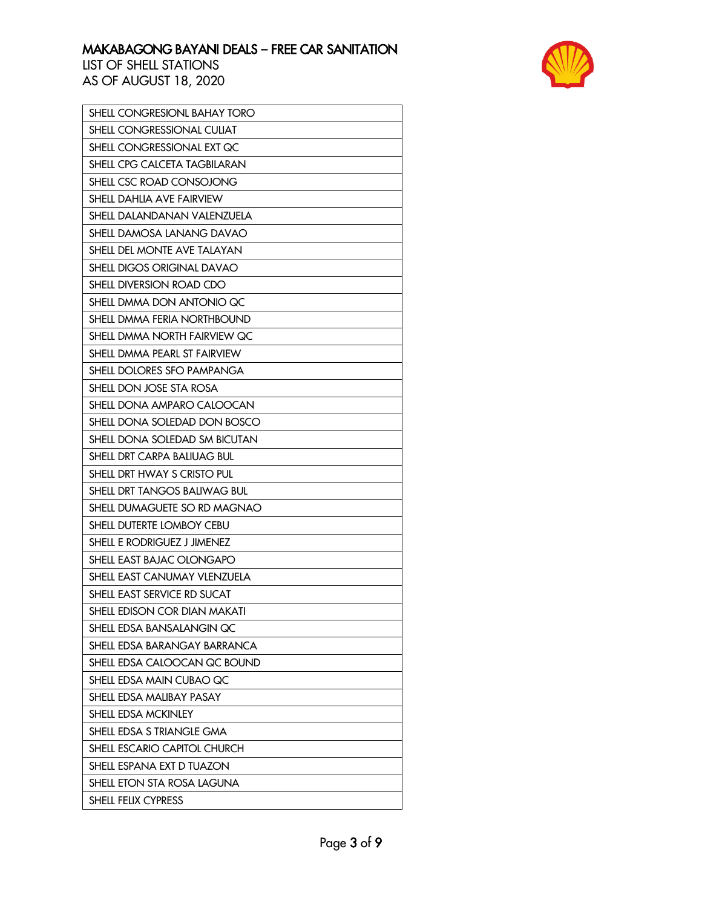

| SHELL CONGRESIONL BAHAY TORO  |
|-------------------------------|
| SHELL CONGRESSIONAL CULIAT    |
| SHELL CONGRESSIONAL EXT QC    |
| SHELL CPG CALCETA TAGBILARAN  |
| SHELL CSC ROAD CONSOJONG      |
| SHELL DAHLIA AVE FAIRVIEW     |
| SHELL DALANDANAN VALENZUELA   |
| SHELL DAMOSA LANANG DAVAO     |
| SHELL DEL MONTE AVE TALAYAN   |
| SHELL DIGOS ORIGINAL DAVAO    |
| SHELL DIVERSION ROAD CDO      |
| SHELL DMMA DON ANTONIO QC     |
| SHELL DMMA FERIA NORTHBOUND   |
| SHELL DMMA NORTH FAIRVIEW QC  |
| SHELL DMMA PEARL ST FAIRVIEW  |
| SHELL DOLORES SFO PAMPANGA    |
| SHELL DON JOSE STA ROSA       |
| SHELL DONA AMPARO CALOOCAN    |
| SHELL DONA SOLEDAD DON BOSCO  |
| SHELL DONA SOLEDAD SM BICUTAN |
| SHELL DRT CARPA BALIUAG BUL   |
| SHELL DRT HWAY S CRISTO PUL   |
| SHELL DRT TANGOS BALIWAG BUL  |
| SHELL DUMAGUETE SO RD MAGNAO  |
| SHELL DUTERTE LOMBOY CEBU     |
| SHELL E RODRIGUEZ J JIMENEZ   |
| SHELL EAST BAJAC OLONGAPO     |
| SHELL EAST CANUMAY VLENZUELA  |
| SHELL EAST SERVICE RD SUCAT   |
| SHELL EDISON COR DIAN MAKATI  |
| SHELL EDSA BANSALANGIN QC     |
| SHELL EDSA BARANGAY BARRANCA  |
| SHELL EDSA CALOOCAN QC BOUND  |
| SHELL EDSA MAIN CUBAO QC      |
| SHELL EDSA MALIBAY PASAY      |
| SHELL EDSA MCKINLEY           |
| SHELL EDSA S TRIANGLE GMA     |
| SHELL ESCARIO CAPITOL CHURCH  |
| SHELL ESPANA EXT D TUAZON     |
| SHELL ETON STA ROSA LAGUNA    |
| SHELL FELIX CYPRESS           |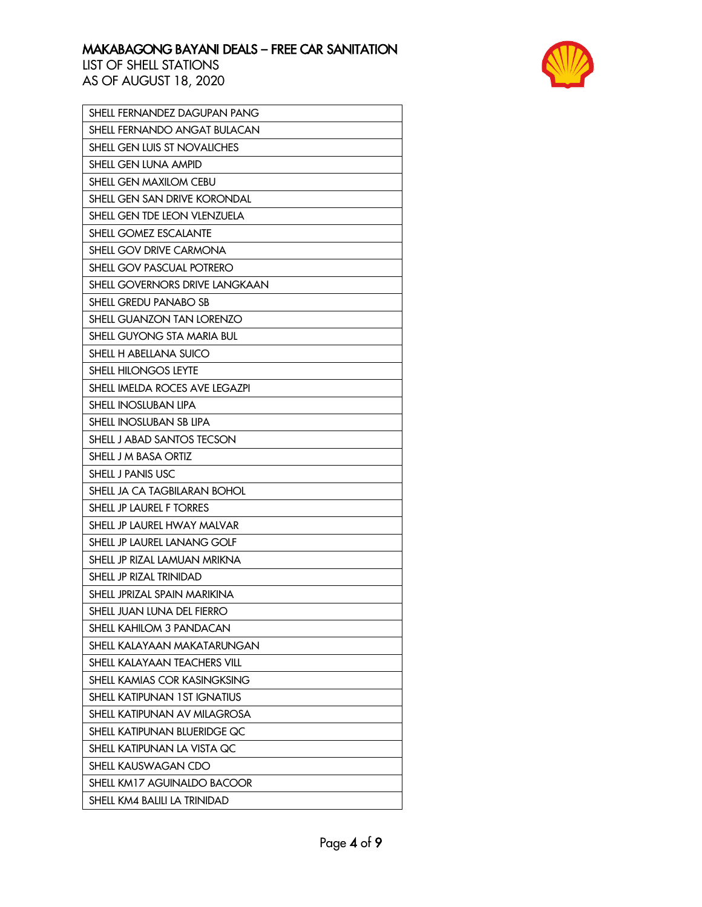

| SHELL FERNANDEZ DAGUPAN PANG        |
|-------------------------------------|
| SHELL FERNANDO ANGAT BULACAN        |
| SHELL GEN LUIS ST NOVALICHES        |
| SHELL GEN LUNA AMPID                |
| SHELL GEN MAXILOM CEBU              |
| SHELL GEN SAN DRIVE KORONDAL        |
| SHELL GEN TDE LEON VLENZUELA        |
| SHELL GOMEZ ESCALANTE               |
| SHELL GOV DRIVE CARMONA             |
| SHELL GOV PASCUAL POTRERO           |
| SHELL GOVERNORS DRIVE LANGKAAN      |
| SHELL GREDU PANABO SB               |
| SHELL GUANZON TAN LORENZO           |
| SHELL GUYONG STA MARIA BUL          |
| SHELL H ABELLANA SUICO              |
| SHELL HILONGOS LEYTE                |
| SHELL IMELDA ROCES AVE LEGAZPI      |
| SHELL INOSLUBAN LIPA                |
| SHELL INOSLUBAN SB LIPA             |
| SHELL J ABAD SANTOS TECSON          |
| SHELL J M BASA ORTIZ                |
| SHELL J PANIS USC                   |
| SHELL JA CA TAGBILARAN BOHOL        |
| SHELL JP LAUREL F TORRES            |
| SHELL JP LAUREL HWAY MALVAR         |
| SHELL JP LAUREL LANANG GOLF         |
| SHELL JP RIZAL LAMUAN MRIKNA        |
| SHELL JP RIZAL TRINIDAD             |
| SHELL JPRIZAL SPAIN MARIKINA        |
| SHELL JUAN LUNA DEL FIERRO          |
| SHELL KAHILOM 3 PANDACAN            |
| SHELL KALAYAAN MAKATARUNGAN         |
| SHELL KALAYAAN TEACHERS VILL        |
| SHELL KAMIAS COR KASINGKSING        |
| <b>SHELL KATIPUNAN 1ST IGNATIUS</b> |
| SHELL KATIPUNAN AV MILAGROSA        |
| SHELL KATIPUNAN BLUERIDGE QC        |
| SHELL KATIPUNAN LA VISTA QC         |
| SHELL KAUSWAGAN CDO                 |
| SHELL KM17 AGUINALDO BACOOR         |
| SHELL KM4 BALILI LA TRINIDAD        |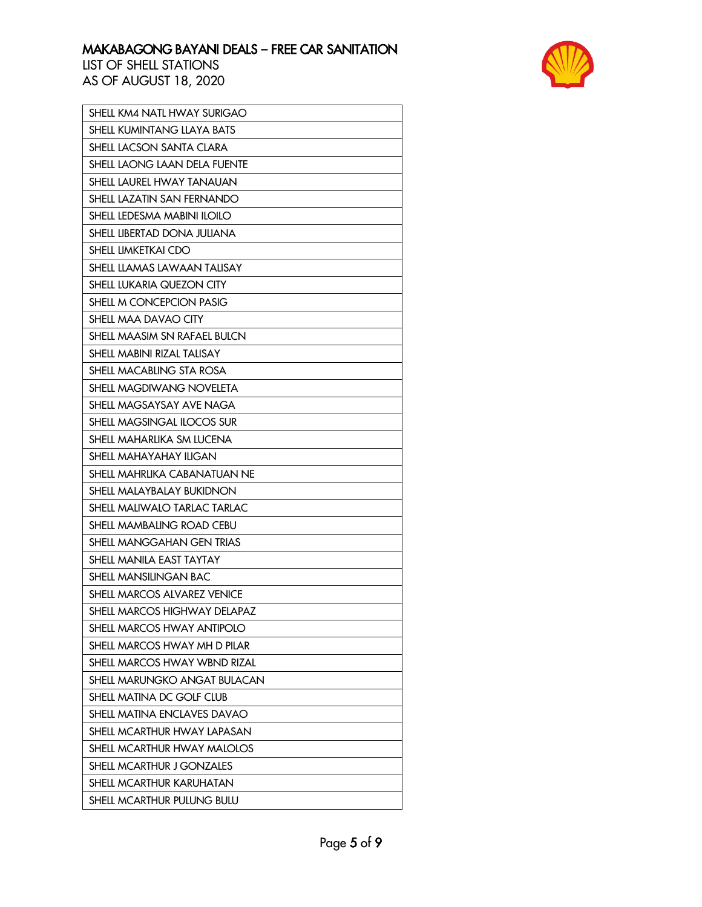

| SHELL KM4 NATL HWAY SURIGAO        |
|------------------------------------|
| SHELL KUMINTANG LLAYA BATS         |
| SHELL LACSON SANTA CLARA           |
| SHELL LAONG LAAN DELA FUENTE       |
| SHELL LAUREL HWAY TANAUAN          |
| SHELL LAZATIN SAN FERNANDO         |
| SHELL LEDESMA MABINI ILOILO        |
| SHELL LIBERTAD DONA JULIANA        |
| SHELL LIMKETKAI CDO                |
| <b>SHELL LLAMAS LAWAAN TALISAY</b> |
| SHELL LUKARIA QUEZON CITY          |
| SHELL M CONCEPCION PASIG           |
| SHELL MAA DAVAO CITY               |
| SHELL MAASIM SN RAFAEL BULCN       |
| SHELL MABINI RIZAL TALISAY         |
| SHELL MACABLING STA ROSA           |
| SHELL MAGDIWANG NOVELETA           |
| SHELL MAGSAYSAY AVE NAGA           |
| SHELL MAGSINGAL ILOCOS SUR         |
| SHELL MAHARLIKA SM LUCENA          |
| SHELL MAHAYAHAY ILIGAN             |
| SHELL MAHRLIKA CABANATUAN NE       |
| SHELL MALAYBALAY BUKIDNON          |
| SHELL MALIWALO TARLAC TARLAC       |
| SHELL MAMBALING ROAD CEBU          |
| SHELL MANGGAHAN GEN TRIAS          |
| SHELL MANILA EAST TAYTAY           |
| SHELL MANSILINGAN BAC              |
| SHELL MARCOS ALVAREZ VENICE        |
| SHELL MARCOS HIGHWAY DELAPAZ       |
| SHELL MARCOS HWAY ANTIPOLO         |
| SHELL MARCOS HWAY MH D PILAR       |
| SHELL MARCOS HWAY WBND RIZAL       |
| SHELL MARUNGKO ANGAT BULACAN       |
| SHELL MATINA DC GOLF CLUB          |
| SHELL MATINA ENCLAVES DAVAO        |
| SHELL MCARTHUR HWAY LAPASAN        |
| SHELL MCARTHUR HWAY MALOLOS        |
| SHELL MCARTHUR J GONZALES          |
| SHELL MCARTHUR KARUHATAN           |
| SHELL MCARTHUR PULUNG BULU         |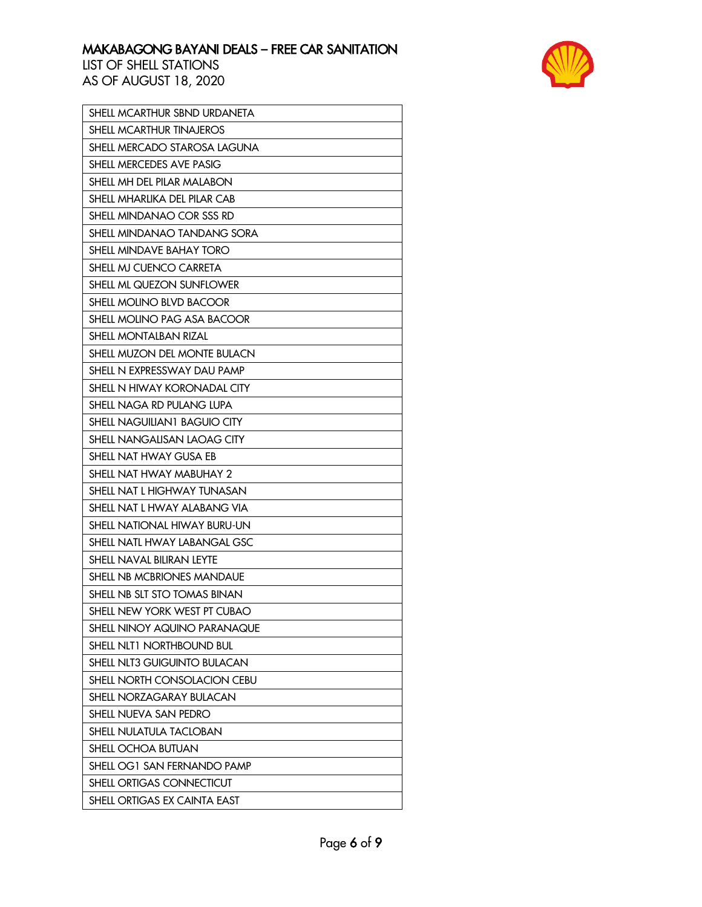

| SHELL MCARTHUR SBND URDANETA        |
|-------------------------------------|
| SHELL MCARTHUR TINAJEROS            |
| SHELL MERCADO STAROSA LAGUNA        |
| SHELL MERCEDES AVE PASIG            |
| SHELL MH DEL PILAR MALABON          |
| SHELL MHARLIKA DEL PILAR CAB        |
| SHELL MINDANAO COR SSS RD           |
| SHELL MINDANAO TANDANG SORA         |
| SHELL MINDAVE BAHAY TORO            |
| SHELL MJ CUENCO CARRETA             |
| SHELL ML QUEZON SUNFLOWER           |
| SHELL MOLINO BLVD BACOOR            |
| SHELL MOLINO PAG ASA BACOOR         |
| SHELL MONTALBAN RIZAL               |
| SHELL MUZON DEL MONTE BULACN        |
| SHELL N EXPRESSWAY DAU PAMP         |
| SHELL N HIWAY KORONADAL CITY        |
| SHELL NAGA RD PULANG LUPA           |
| <b>SHELL NAGUILIAN1 BAGUIO CITY</b> |
| SHELL NANGALISAN LAOAG CITY         |
| SHELL NAT HWAY GUSA EB              |
| SHELL NAT HWAY MABUHAY 2            |
| SHELL NAT L HIGHWAY TUNASAN         |
| SHELL NAT L HWAY ALABANG VIA        |
| SHELL NATIONAL HIWAY BURU-UN        |
| SHELL NATL HWAY LABANGAL GSC        |
| SHELL NAVAL BILIRAN LEYTE           |
| SHELL NB MCBRIONES MANDAUE          |
| SHELL NB SLT STO TOMAS BINAN        |
| SHELL NEW YORK WEST PT CUBAO        |
| SHELL NINOY AQUINO PARANAQUE        |
| SHELL NLT1 NORTHBOUND BUL           |
| SHELL NLT3 GUIGUINTO BULACAN        |
| SHELL NORTH CONSOLACION CEBU        |
| SHELL NORZAGARAY BULACAN            |
| SHELL NUEVA SAN PEDRO               |
| SHELL NULATULA TACLOBAN             |
| SHELL OCHOA BUTUAN                  |
| SHELL OG1 SAN FERNANDO PAMP         |
| SHELL ORTIGAS CONNECTICUT           |
| SHELL ORTIGAS EX CAINTA EAST        |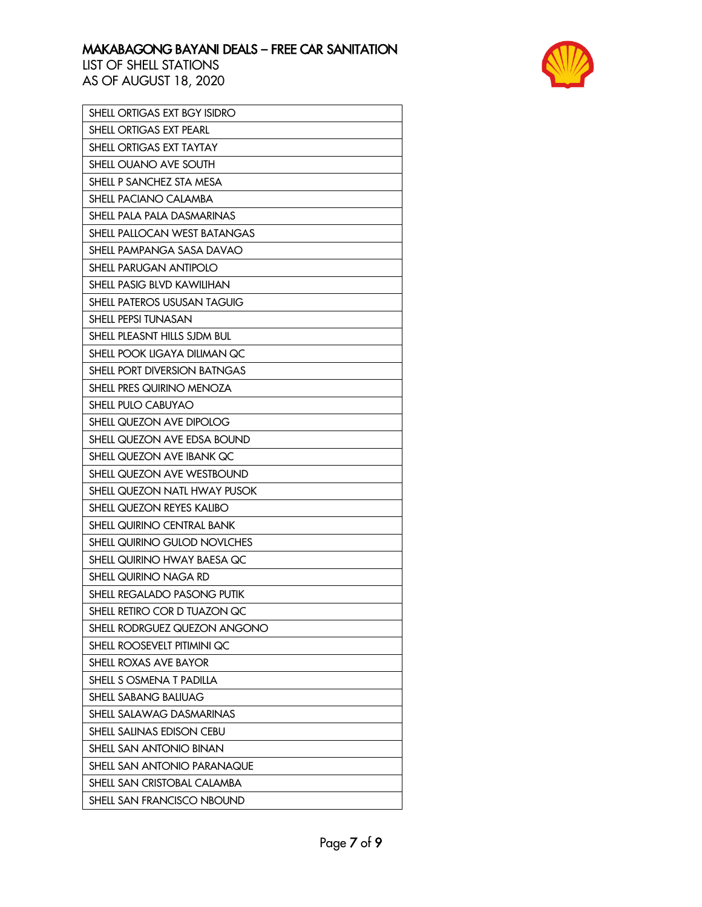

| SHELL ORTIGAS EXT BGY ISIDRO       |
|------------------------------------|
| <b>SHELL ORTIGAS EXT PEARL</b>     |
| SHELL ORTIGAS EXT TAYTAY           |
| SHELL OUANO AVE SOUTH              |
| SHELL P SANCHEZ STA MESA           |
| SHELL PACIANO CALAMBA              |
| SHELL PALA PALA DASMARINAS         |
| SHELL PALLOCAN WEST BATANGAS       |
| SHELL PAMPANGA SASA DAVAO          |
| SHELL PARUGAN ANTIPOLO             |
| SHELL PASIG BLVD KAWILIHAN         |
| <b>SHELL PATEROS USUSAN TAGUIG</b> |
| SHELL PEPSI TUNASAN                |
| SHELL PLEASNT HILLS SJDM BUL       |
| SHELL POOK LIGAYA DILIMAN QC       |
| SHELL PORT DIVERSION BATNGAS       |
| SHELL PRES QUIRINO MENOZA          |
| <b>SHELL PULO CABUYAO</b>          |
| SHELL QUEZON AVE DIPOLOG           |
| SHELL QUEZON AVE EDSA BOUND        |
| SHELL QUEZON AVE IBANK QC          |
| SHELL QUEZON AVE WESTBOUND         |
| SHELL QUEZON NATL HWAY PUSOK       |
| SHELL QUEZON REYES KALIBO          |
| SHELL QUIRINO CENTRAL BANK         |
| SHELL QUIRINO GULOD NOVLCHES       |
| SHELL QUIRINO HWAY BAESA QC        |
| SHELL QUIRINO NAGA RD              |
| SHELL REGALADO PASONG PUTIK        |
| SHELL RETIRO COR D TUAZON QC       |
| SHELL RODRGUEZ QUEZON ANGONO       |
| SHELL ROOSEVELT PITIMINI QC        |
| SHELL ROXAS AVE BAYOR              |
| SHELL S OSMENA T PADILLA           |
| <b>SHELL SABANG BALIUAG</b>        |
| SHELL SALAWAG DASMARINAS           |
| SHELL SALINAS EDISON CEBU          |
| SHELL SAN ANTONIO BINAN            |
| <b>SHELL SAN ANTONIO PARANAQUE</b> |
| SHELL SAN CRISTOBAL CALAMBA        |
| SHELL SAN FRANCISCO NBOUND         |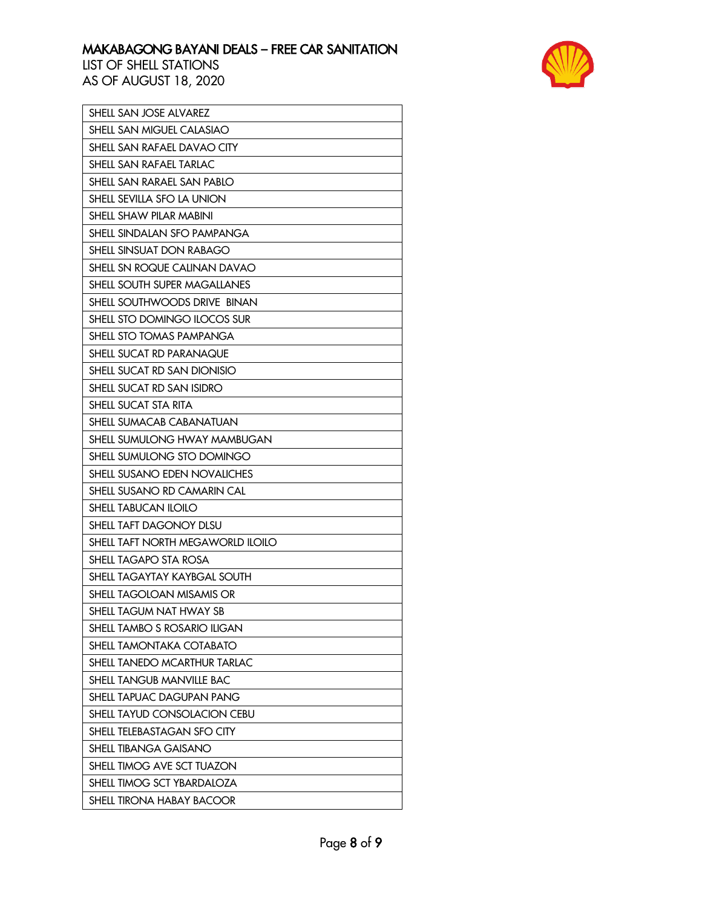

| SHELL SAN JOSE ALVAREZ              |
|-------------------------------------|
| <b>SHELL SAN MIGUEL CALASIAO</b>    |
| SHELL SAN RAFAEL DAVAO CITY         |
| SHELL SAN RAFAEL TARLAC             |
| SHELL SAN RARAEL SAN PABLO          |
| SHELL SEVILLA SFO LA UNION          |
| SHELL SHAW PILAR MABINI             |
| SHELL SINDALAN SFO PAMPANGA         |
| SHELL SINSUAT DON RABAGO            |
| SHELL SN ROQUE CALINAN DAVAO        |
| SHELL SOUTH SUPER MAGALLANES        |
| SHELL SOUTHWOODS DRIVE BINAN        |
| SHELL STO DOMINGO ILOCOS SUR        |
| SHELL STO TOMAS PAMPANGA            |
| SHELL SUCAT RD PARANAQUE            |
| SHELL SUCAT RD SAN DIONISIO         |
| SHELL SUCAT RD SAN ISIDRO           |
| SHELL SUCAT STA RITA                |
| SHELL SUMACAB CABANATUAN            |
| SHELL SUMULONG HWAY MAMBUGAN        |
| SHELL SUMULONG STO DOMINGO          |
| <b>SHELL SUSANO EDEN NOVALICHES</b> |
| SHELL SUSANO RD CAMARIN CAL         |
| SHELL TABUCAN ILOILO                |
| SHELL TAFT DAGONOY DLSU             |
| SHELL TAFT NORTH MEGAWORLD ILOILO   |
| SHELL TAGAPO STA ROSA               |
| SHELL TAGAYTAY KAYBGAL SOUTH        |
| SHELL TAGOLOAN MISAMIS OR           |
| SHELL TAGUM NAT HWAY SB             |
| SHELL TAMBO S ROSARIO ILIGAN        |
| SHELL TAMONTAKA COTABATO            |
| SHELL TANEDO MCARTHUR TARLAC        |
| SHELL TANGUB MANVILLE BAC           |
| SHELL TAPUAC DAGUPAN PANG           |
| SHELL TAYUD CONSOLACION CEBU        |
| SHELL TELEBASTAGAN SFO CITY         |
| <b>SHELL TIBANGA GAISANO</b>        |
| SHELL TIMOG AVE SCT TUAZON          |
| SHELL TIMOG SCT YBARDALOZA          |
| SHELL TIRONA HABAY BACOOR           |